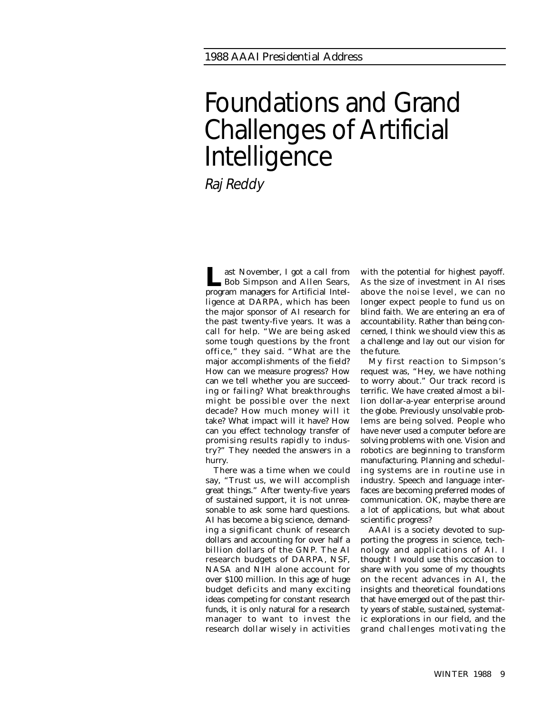# Foundations and Grand Challenges of Artificial **Intelligence**

Raj Reddy

ast November, I got a call from ast November, I got a call from<br>Bob Simpson and Allen Sears, program managers for Artificial Intelligence at DARPA, which has been the major sponsor of AI research for the past twenty-five years. It was a call for help. "We are being asked some tough questions by the front office," they said. "What are the major accomplishments of the field? How can we measure progress? How can we tell whether you are succeeding or failing? What breakthroughs might be possible over the next decade? How much money will it take? What impact will it have? How can you effect technology transfer of promising results rapidly to industry?" They needed the answers in a hurry.

There was a time when we could say, "Trust us, we will accomplish great things." After twenty-five years of sustained support, it is not unreasonable to ask some hard questions. AI has become a big science, demanding a significant chunk of research dollars and accounting for over half a billion dollars of the GNP. The AI research budgets of DARPA, NSF, NASA and NIH alone account for over \$100 million. In this age of huge budget deficits and many exciting ideas competing for constant research funds, it is only natural for a research manager to want to invest the research dollar wisely in activities

with the potential for highest payoff. As the size of investment in AI rises above the noise level, we can no longer expect people to fund us on blind faith. We are entering an era of accountability. Rather than being concerned, I think we should view this as a challenge and lay out our vision for the future.

My first reaction to Simpson's request was, "Hey, we have nothing to worry about." Our track record is terrific. We have created almost a billion dollar-a-year enterprise around the globe. Previously unsolvable problems are being solved. People who have never used a computer before are solving problems with one. Vision and robotics are beginning to transform manufacturing. Planning and scheduling systems are in routine use in industry. Speech and language interfaces are becoming preferred modes of communication. OK, maybe there are a lot of applications, but what about scientific progress?

AAAI is a society devoted to supporting the progress in science, technology and applications of AI. I thought I would use this occasion to share with you some of my thoughts on the recent advances in AI, the insights and theoretical foundations that have emerged out of the past thirty years of stable, sustained, systematic explorations in our field, and the grand challenges motivating the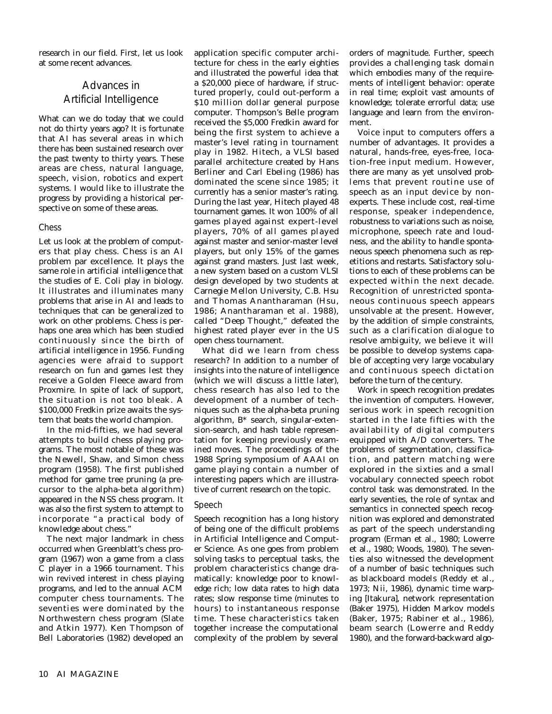research in our field. First, let us look at some recent advances.

# Advances in Artificial Intelligence

What can we do today that we could not do thirty years ago? It is fortunate that AI has several areas in which there has been sustained research over the past twenty to thirty years. These areas are chess, natural language, speech, vision, robotics and expert systems. I would like to illustrate the progress by providing a historical perspective on some of these areas.

#### Chess

Let us look at the problem of computers that play chess. Chess is an AI problem par excellence. It plays the same role in artificial intelligence that the studies of E. Coli play in biology. It illustrates and illuminates many problems that arise in AI and leads to techniques that can be generalized to work on other problems. Chess is perhaps one area which has been studied continuously since the birth of artificial intelligence in 1956. Funding agencies were afraid to support research on fun and games lest they receive a Golden Fleece award from Proxmire. In spite of lack of support, the situation is not too bleak. A \$100,000 Fredkin prize awaits the system that beats the world champion.

In the mid-fifties, we had several attempts to build chess playing programs. The most notable of these was the Newell, Shaw, and Simon chess program (1958). The first published method for game tree pruning (a precursor to the alpha-beta algorithm) appeared in the NSS chess program. It was also the first system to attempt to incorporate "a practical body of knowledge about chess."

The next major landmark in chess occurred when Greenblatt's chess program (1967) won a game from a class C player in a 1966 tournament. This win revived interest in chess playing programs, and led to the annual ACM computer chess tournaments. The seventies were dominated by the Northwestern chess program (Slate and Atkin 1977). Ken Thompson of Bell Laboratories (1982) developed an application specific computer architecture for chess in the early eighties and illustrated the powerful idea that a \$20,000 piece of hardware, if structured properly, could out-perform a \$10 million dollar general purpose computer. Thompson's Belle program received the \$5,000 Fredkin award for being the first system to achieve a master's level rating in tournament play in 1982. Hitech, a VLSI based parallel architecture created by Hans Berliner and Carl Ebeling (1986) has dominated the scene since 1985; it currently has a senior master's rating. During the last year, Hitech played 48 tournament games. It won 100% of all games played against expert-level players, 70% of all games played against master and senior-master level players, but only 15% of the games against grand masters. Just last week, a new system based on a custom VLSI design developed by two students at Carnegie Mellon University, C.B. Hsu and Thomas Anantharaman (Hsu, 1986; Anantharaman et al. 1988), called "Deep Thought," defeated the highest rated player ever in the US open chess tournament.

What did we learn from chess research? In addition to a number of insights into the nature of intelligence (which we will discuss a little later), chess research has also led to the development of a number of techniques such as the alpha-beta pruning algorithm, B\* search, singular-extension-search, and hash table representation for keeping previously examined moves. The proceedings of the 1988 Spring symposium of AAAI on game playing contain a number of interesting papers which are illustrative of current research on the topic.

#### Speech

Speech recognition has a long history of being one of the difficult problems in Artificial Intelligence and Computer Science. As one goes from problem solving tasks to perceptual tasks, the problem characteristics change dramatically: knowledge poor to knowledge rich; low data rates to high data rates; slow response time (minutes to hours) to instantaneous response time. These characteristics taken together increase the computational complexity of the problem by several

orders of magnitude. Further, speech provides a challenging task domain which embodies many of the requirements of intelligent behavior: operate in real time; exploit vast amounts of knowledge; tolerate errorful data; use language and learn from the environment.

Voice input to computers offers a number of advantages. It provides a natural, hands-free, eyes-free, location-free input medium. However, there are many as yet unsolved problems that prevent routine use of speech as an input device by nonexperts. These include cost, real-time response, speaker independence, robustness to variations such as noise, microphone, speech rate and loudness, and the ability to handle spontaneous speech phenomena such as repetitions and restarts. Satisfactory solutions to each of these problems can be expected within the next decade. Recognition of unrestricted spontaneous continuous speech appears unsolvable at the present. However, by the addition of simple constraints, such as a clarification dialogue to resolve ambiguity, we believe it will be possible to develop systems capable of accepting very large vocabulary and continuous speech dictation before the turn of the century.

Work in speech recognition predates the invention of computers. However, serious work in speech recognition started in the late fifties with the availability of digital computers equipped with A/D converters. The problems of segmentation, classification, and pattern matching were explored in the sixties and a small vocabulary connected speech robot control task was demonstrated. In the early seventies, the role of syntax and semantics in connected speech recognition was explored and demonstrated as part of the speech understanding program (Erman et al., 1980; Lowerre et al., 1980; Woods, 1980). The seventies also witnessed the development of a number of basic techniques such as blackboard models (Reddy et al., 1973; Nii, 1986), dynamic time warping [Itakura], network representation (Baker 1975), Hidden Markov models (Baker, 1975; Rabiner et al., 1986), beam search (Lowerre and Reddy 1980), and the forward-backward algo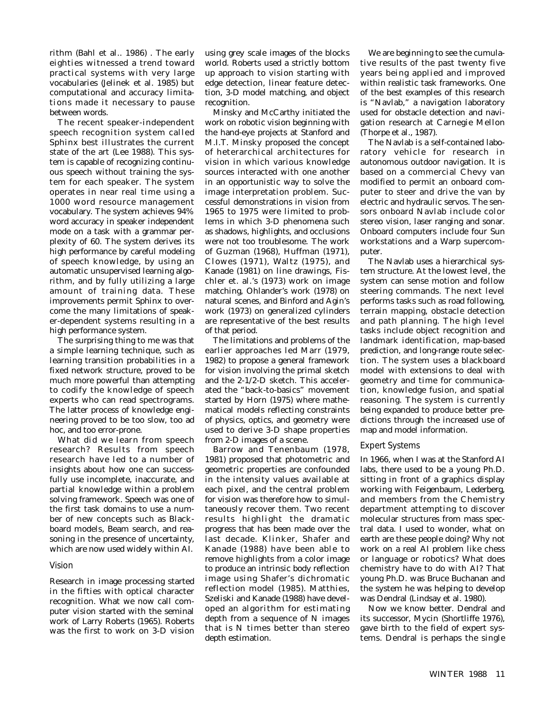rithm (Bahl et al.. 1986) . The early eighties witnessed a trend toward practical systems with very large vocabularies (Jelinek et al. 1985) but computational and accuracy limitations made it necessary to pause between words.

The recent speaker-independent speech recognition system called Sphinx best illustrates the current state of the art (Lee 1988). This system is capable of recognizing continuous speech without training the system for each speaker. The system operates in near real time using a 1000 word resource management vocabulary. The system achieves 94% word accuracy in speaker independent mode on a task with a grammar perplexity of 60. The system derives its high performance by careful modeling of speech knowledge, by using an automatic unsupervised learning algorithm, and by fully utilizing a large amount of training data. These improvements permit Sphinx to overcome the many limitations of speaker-dependent systems resulting in a high performance system.

The surprising thing to me was that a simple learning technique, such as learning transition probabilities in a fixed network structure, proved to be much more powerful than attempting to codify the knowledge of speech experts who can read spectrograms. The latter process of knowledge engineering proved to be too slow, too ad hoc, and too error-prone.

What did we learn from speech research? Results from speech research have led to a number of insights about how one can successfully use incomplete, inaccurate, and partial knowledge within a problem solving framework. Speech was one of the first task domains to use a number of new concepts such as Blackboard models, Beam search, and reasoning in the presence of uncertainty, which are now used widely within AI.

#### Vision

Research in image processing started in the fifties with optical character recognition. What we now call computer vision started with the seminal work of Larry Roberts (1965). Roberts was the first to work on 3-D vision using grey scale images of the blocks world. Roberts used a strictly bottom up approach to vision starting with edge detection, linear feature detection, 3-D model matching, and object recognition.

Minsky and McCarthy initiated the work on robotic vision beginning with the hand-eye projects at Stanford and M.I.T. Minsky proposed the concept of heterarchical architectures for vision in which various knowledge sources interacted with one another in an opportunistic way to solve the image interpretation problem. Successful demonstrations in vision from 1965 to 1975 were limited to problems in which 3-D phenomena such as shadows, highlights, and occlusions were not too troublesome. The work of Guzman (1968), Huffman (1971), Clowes (1971), Waltz (1975), and Kanade (1981) on line drawings, Fischler et. al.'s (1973) work on image matching, Ohlander's work (1978) on natural scenes, and Binford and Agin's work (1973) on generalized cylinders are representative of the best results of that period.

The limitations and problems of the earlier approaches led Marr (1979, 1982) to propose a general framework for vision involving the primal sketch and the 2-1/2-D sketch. This accelerated the "back-to-basics" movement started by Horn (1975) where mathematical models reflecting constraints of physics, optics, and geometry were used to derive 3-D shape properties from 2-D images of a scene.

Barrow and Tenenbaum (1978, 1981) proposed that photometric and geometric properties are confounded in the intensity values available at each pixel, and the central problem for vision was therefore how to simultaneously recover them. Two recent results highlight the dramatic progress that has been made over the last decade. Klinker, Shafer and Kanade (1988) have been able to remove highlights from a color image to produce an intrinsic body reflection image using Shafer's dichromatic reflection model (1985). Matthies, Szeliski and Kanade (1988) have developed an algorithm for estimating depth from a sequence of N images that is N times better than stereo depth estimation.

We are beginning to see the cumulative results of the past twenty five years being applied and improved within realistic task frameworks. One of the best examples of this research is "Navlab," a navigation laboratory used for obstacle detection and navigation research at Carnegie Mellon (Thorpe et al., 1987).

The Navlab is a self-contained laboratory vehicle for research in autonomous outdoor navigation. It is based on a commercial Chevy van modified to permit an onboard computer to steer and drive the van by electric and hydraulic servos. The sensors onboard Navlab include color stereo vision, laser ranging and sonar. Onboard computers include four Sun workstations and a Warp supercomputer.

The Navlab uses a hierarchical system structure. At the lowest level, the system can sense motion and follow steering commands. The next level performs tasks such as road following, terrain mapping, obstacle detection and path planning. The high level tasks include object recognition and landmark identification, map-based prediction, and long-range route selection. The system uses a blackboard model with extensions to deal with geometry and time for communication, knowledge fusion, and spatial reasoning. The system is currently being expanded to produce better predictions through the increased use of map and model information.

#### Expert Systems

In 1966, when I was at the Stanford AI labs, there used to be a young Ph.D. sitting in front of a graphics display working with Feigenbaum, Lederberg, and members from the Chemistry department attempting to discover molecular structures from mass spectral data. I used to wonder, what on earth are these people doing? Why not work on a real AI problem like chess or language or robotics? What does chemistry have to do with AI? That young Ph.D. was Bruce Buchanan and the system he was helping to develop was Dendral (Lindsay et al. 1980).

Now we know better. Dendral and its successor, Mycin (Shortliffe 1976), gave birth to the field of expert systems. Dendral is perhaps the single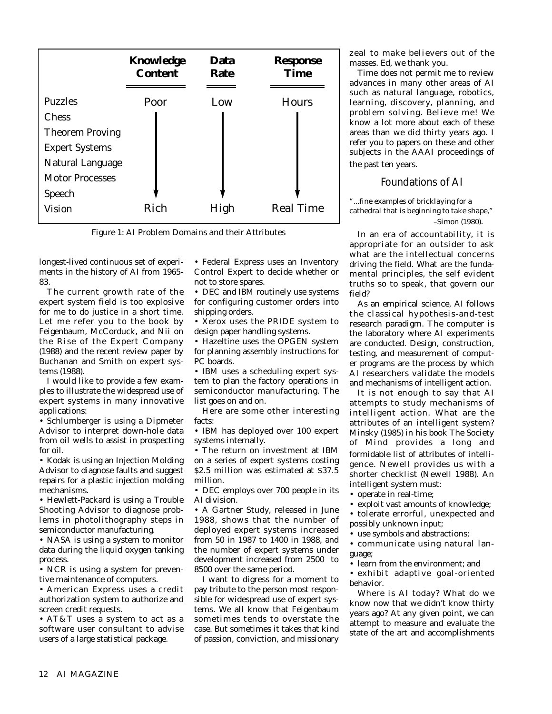

*Figure 1: AI Problem Domains and their Attributes*

longest-lived continuous set of experiments in the history of AI from 1965- 83.

The current growth rate of the expert system field is too explosive for me to do justice in a short time. Let me refer you to the book by Feigenbaum, McCorduck, and Nii on the Rise of the Expert Company (1988) and the recent review paper by Buchanan and Smith on expert systems (1988).

I would like to provide a few examples to illustrate the widespread use of expert systems in many innovative applications:

• Schlumberger is using a Dipmeter Advisor to interpret down-hole data from oil wells to assist in prospecting for oil.

• Kodak is using an Injection Molding Advisor to diagnose faults and suggest repairs for a plastic injection molding mechanisms.

• Hewlett-Packard is using a Trouble Shooting Advisor to diagnose problems in photolithography steps in semiconductor manufacturing.

• NASA is using a system to monitor data during the liquid oxygen tanking process.

• NCR is using a system for preventive maintenance of computers.

• American Express uses a credit authorization system to authorize and screen credit requests.

• AT&T uses a system to act as a software user consultant to advise users of a large statistical package.

• Federal Express uses an Inventory Control Expert to decide whether or not to store spares.

• DEC and IBM routinely use systems for configuring customer orders into shipping orders.

• Xerox uses the PRIDE system to design paper handling systems.

• Hazeltine uses the OPGEN system for planning assembly instructions for PC boards.

• IBM uses a scheduling expert system to plan the factory operations in semiconductor manufacturing. The list goes on and on.

Here are some other interesting facts:

• IBM has deployed over 100 expert systems internally.

• The return on investment at IBM on a series of expert systems costing \$2.5 million was estimated at \$37.5 million.

• DEC employs over 700 people in its AI division.

• A Gartner Study, released in June 1988, shows that the number of deployed expert systems increased from 50 in 1987 to 1400 in 1988, and the number of expert systems under development increased from 2500 to 8500 over the same period.

I want to digress for a moment to pay tribute to the person most responsible for widespread use of expert systems. We all know that Feigenbaum sometimes tends to overstate the case. But sometimes it takes that kind of passion, conviction, and missionary zeal to make believers out of the masses. Ed, we thank you.

Time does not permit me to review advances in many other areas of AI such as natural language, robotics, learning, discovery, planning, and problem solving. Believe me! We know a lot more about each of these areas than we did thirty years ago. I refer you to papers on these and other subjects in the AAAI proceedings of the past ten years.

## Foundations of AI

*"...fine examples of bricklaying for a cathedral that is beginning to take shape,"* –Simon (1980).

In an era of accountability, it is appropriate for an outsider to ask what are the intellectual concerns driving the field. What are the fundamental principles, the self evident truths so to speak, that govern our field?

As an empirical science, AI follows the classical hypothesis-and-test research paradigm. The computer is the laboratory where AI experiments are conducted. Design, construction, testing, and measurement of computer programs are the process by which AI researchers validate the models and mechanisms of intelligent action.

It is not enough to say that AI attempts to study mechanisms of intelligent action. What are the attributes of an intelligent system? Minsky (1985) in his book *The Society of Mind* provides a long and formidable list of attributes of intelligence. Newell provides us with a shorter checklist (Newell 1988). An intelligent system must:

• operate in real-time;

• exploit vast amounts of knowledge;

• tolerate errorful, unexpected and possibly unknown input;

• use symbols and abstractions;

• communicate using natural language;

• learn from the environment; and

• exhibit adaptive goal-oriented behavior.

Where is AI today? What do we know now that we didn't know thirty years ago? At any given point, we can attempt to measure and evaluate the state of the art and accomplishments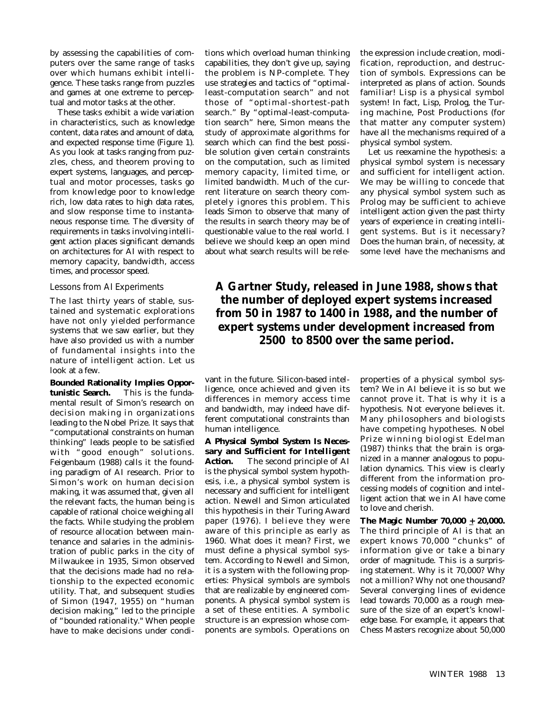by assessing the capabilities of computers over the same range of tasks over which humans exhibit intelligence. These tasks range from puzzles and games at one extreme to perceptual and motor tasks at the other.

These tasks exhibit a wide variation in characteristics, such as knowledge content, data rates and amount of data, and expected response time (Figure 1). As you look at tasks ranging from puzzles, chess, and theorem proving to expert systems, languages, and perceptual and motor processes, tasks go from knowledge poor to knowledge rich, low data rates to high data rates, and slow response time to instantaneous response time. The diversity of requirements in tasks involving intelligent action places significant demands on architectures for AI with respect to memory capacity, bandwidth, access times, and processor speed.

#### Lessons from AI Experiments

The last thirty years of stable, sustained and systematic explorations have not only yielded performance systems that we saw earlier, but they have also provided us with a number of fundamental insights into the nature of intelligent action. Let us look at a few.

**Bounded Rationality Implies Opportunistic Search.** This is the fundamental result of Simon's research on decision making in organizations leading to the Nobel Prize. It says that "computational constraints on human thinking" leads people to be satisfied with "good enough" solutions. Feigenbaum (1988) calls it the founding paradigm of AI research. Prior to Simon's work on human decision making, it was assumed that, given all the relevant facts, the human being is capable of rational choice weighing all the facts. While studying the problem of resource allocation between maintenance and salaries in the administration of public parks in the city of Milwaukee in 1935, Simon observed that the decisions made had no relationship to the expected economic utility. That, and subsequent studies of Simon (1947, 1955) on "human decision making," led to the principle of "bounded rationality." When people have to make decisions under conditions which overload human thinking capabilities, they don't give up, saying the problem is NP-complete. They use strategies and tactics of "optimalleast-computation search" and not those of "optimal-shortest-path search." By "optimal-least-computation search" here, Simon means the study of approximate algorithms for search which can find the best possible solution given certain constraints on the computation, such as limited memory capacity, limited time, or limited bandwidth. Much of the current literature on search theory completely ignores this problem. This leads Simon to observe that many of the results in search theory may be of questionable value to the real world. I believe we should keep an open mind about what search results will be relethe expression include creation, modification, reproduction, and destruction of symbols. Expressions can be interpreted as plans of action. Sounds familiar! Lisp is a physical symbol system! In fact, Lisp, Prolog, the Turing machine, Post Productions (for that matter any computer system) have all the mechanisms required of a physical symbol system.

Let us reexamine the hypothesis: a physical symbol system is necessary and sufficient for intelligent action. We may be willing to concede that any physical symbol system such as Prolog may be sufficient to achieve intelligent action given the past thirty years of experience in creating intelligent systems. But is it necessary? Does the human brain, of necessity, at some level have the mechanisms and

*A Gartner Study, released in June 1988, shows that the number of deployed expert systems increased from 50 in 1987 to 1400 in 1988, and the number of expert systems under development increased from 2500 to 8500 over the same period.*

vant in the future. Silicon-based intelligence, once achieved and given its differences in memory access time and bandwidth, may indeed have different computational constraints than human intelligence.

**A Physical Symbol System Is Necessary and Sufficient for Intelligent Action.** The second principle of AI is the physical symbol system hypothesis, i.e., a physical symbol system is necessary and sufficient for intelligent action. Newell and Simon articulated this hypothesis in their Turing Award paper (1976). I believe they were aware of this principle as early as 1960. What does it mean? First, we must define a physical symbol system. According to Newell and Simon, it is a system with the following properties: Physical symbols are symbols that are realizable by engineered components. A physical symbol system is a set of these entities. A symbolic structure is an expression whose components are symbols. Operations on

properties of a physical symbol system? We in AI believe it is so but we cannot prove it. That is why it is a hypothesis. Not everyone believes it. Many philosophers and biologists have competing hypotheses. Nobel Prize winning biologist Edelman (1987) thinks that the brain is organized in a manner analogous to population dynamics. This view is clearly different from the information processing models of cognition and intelligent action that we in AI have come to love and cherish.

**The Magic Number 70,000**  $\pm$  **20,000.** The third principle of AI is that an expert knows 70,000 "chunks" of information give or take a binary order of magnitude. This is a surprising statement. Why is it 70,000? Why not a million? Why not one thousand? Several converging lines of evidence lead towards 70,000 as a rough measure of the size of an expert's knowledge base. For example, it appears that Chess Masters recognize about 50,000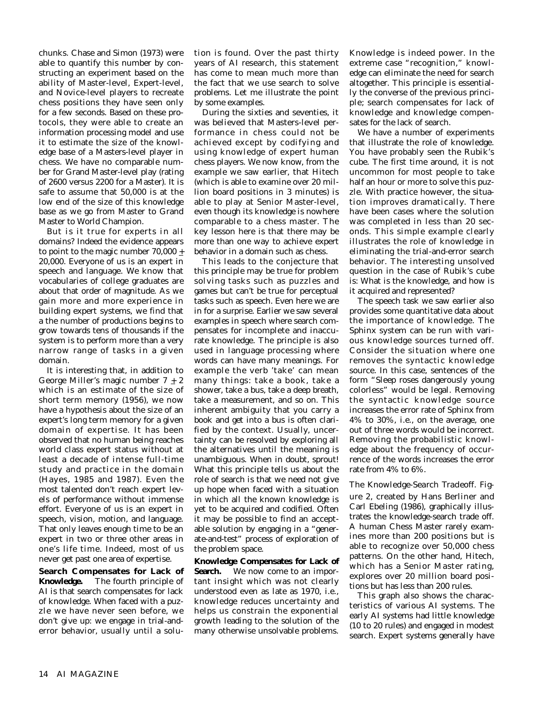chunks. Chase and Simon (1973) were able to quantify this number by constructing an experiment based on the ability of Master-level, Expert-level, and Novice-level players to recreate chess positions they have seen only for a few seconds. Based on these protocols, they were able to create an information processing model and use it to estimate the size of the knowledge base of a Masters-level player in chess. We have no comparable number for Grand Master-level play (rating of 2600 versus 2200 for a Master). It is safe to assume that 50,000 is at the low end of the size of this knowledge base as we go from Master to Grand Master to World Champion.

But is it true for experts in all domains? Indeed the evidence appears to point to the magic number 70,000  $\pm$ 20,000. Everyone of us is an expert in speech and language. We know that vocabularies of college graduates are about that order of magnitude. As we gain more and more experience in building expert systems, we find that a the number of productions begins to grow towards tens of thousands if the system is to perform more than a very narrow range of tasks in a given domain.

It is interesting that, in addition to George Miller's magic number  $7 \pm 2$ which is an estimate of the size of short term memory (1956), we now have a hypothesis about the size of an expert's long term memory for a given domain of expertise. It has been observed that no human being reaches world class expert status without at least a decade of intense full-time study and practice in the domain (Hayes, 1985 and 1987). Even the most talented don't reach expert levels of performance without immense effort. Everyone of us is an expert in speech, vision, motion, and language. That only leaves enough time to be an expert in two or three other areas in one's life time. Indeed, most of us never get past one area of expertise.

**Search Compensates for Lack of Knowledge.** The fourth principle of AI is that search compensates for lack of knowledge. When faced with a puzzle we have never seen before, we don't give up: we engage in trial-anderror behavior, usually until a solution is found. Over the past thirty years of AI research, this statement has come to mean much more than the fact that we use search to solve problems. Let me illustrate the point by some examples.

During the sixties and seventies, it was believed that Masters-level performance in chess could not be achieved except by codifying and using knowledge of expert human chess players. We now know, from the example we saw earlier, that Hitech (which is able to examine over 20 million board positions in 3 minutes) is able to play at Senior Master-level, even though its knowledge is nowhere comparable to a chess master. The key lesson here is that there may be more than one way to achieve expert behavior in a domain such as chess.

This leads to the conjecture that this principle may be true for problem solving tasks such as puzzles and games but can't be true for perceptual tasks such as speech. Even here we are in for a surprise. Earlier we saw several examples in speech where search compensates for incomplete and inaccurate knowledge. The principle is also used in language processing where words can have many meanings. For example the verb 'take' can mean many things: take a book, take a shower, take a bus, take a deep breath, take a measurement, and so on. This inherent ambiguity that you carry a book and get into a bus is often clarified by the context. Usually, uncertainty can be resolved by exploring all the alternatives until the meaning is unambiguous. When in doubt, sprout! What this principle tells us about the role of search is that we need not give up hope when faced with a situation in which all the known knowledge is yet to be acquired and codified. Often it may be possible to find an acceptable solution by engaging in a "generate-and-test" process of exploration of the problem space.

**Knowledge Compensates for Lack of Search.** We now come to an important insight which was not clearly understood even as late as 1970, i.e., knowledge reduces uncertainty and helps us constrain the exponential growth leading to the solution of the many otherwise unsolvable problems.

Knowledge is indeed power. In the extreme case "recognition," knowledge can eliminate the need for search altogether. This principle is essentially the converse of the previous principle; search compensates for lack of knowledge and knowledge compensates for the lack of search.

We have a number of experiments that illustrate the role of knowledge. You have probably seen the Rubik's cube. The first time around, it is not uncommon for most people to take half an hour or more to solve this puzzle. With practice however, the situation improves dramatically. There have been cases where the solution was completed in less than 20 seconds. This simple example clearly illustrates the role of knowledge in eliminating the trial-and-error search behavior. The interesting unsolved question in the case of Rubik's cube is: What is the knowledge, and how is it acquired and represented?

The speech task we saw earlier also provides some quantitative data about the importance of knowledge. The Sphinx system can be run with various knowledge sources turned off. Consider the situation where one removes the syntactic knowledge source. In this case, sentences of the form "Sleep roses dangerously young colorless" would be legal. Removing the syntactic knowledge source increases the error rate of Sphinx from 4% to 30%, i.e., on the average, one out of three words would be incorrect. Removing the probabilistic knowledge about the frequency of occurrence of the words increases the error rate from 4% to 6%.

*The Knowledge-Search Tradeoff.* Figure 2, created by Hans Berliner and Carl Ebeling (1986), graphically illustrates the knowledge-search trade off. A human Chess Master rarely examines more than 200 positions but is able to recognize over 50,000 chess patterns. On the other hand, Hitech, which has a Senior Master rating, explores over 20 million board positions but has less than 200 rules.

This graph also shows the characteristics of various AI systems. The early AI systems had little knowledge (10 to 20 rules) and engaged in modest search. Expert systems generally have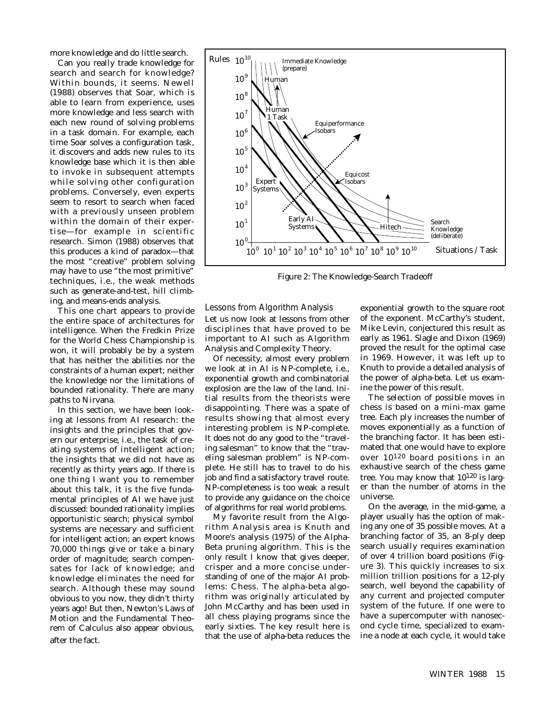more knowledge and do little search.

Can you really trade knowledge for search and search for knowledge? Within bounds, it seems. Newell (1988) observes that Soar, which is able to learn from experience, uses more knowledge and less search with each new round of solving problems in a task domain. For example, each time Soar solves a configuration task, it discovers and adds new rules to its knowledge base which it is then able to invoke in subsequent attempts while solving other configuration problems. Conversely, even experts seem to resort to search when faced with a previously unseen problem within the domain of their expertise—for example in scientific research. Simon (1988) observes that this produces a kind of paradox—that the most "creative" problem solving may have to use "the most primitive" techniques, i.e., the weak methods such as generate-and-test, hill climbing, and means-ends analysis.

This one chart appears to provide the entire space of architectures for intelligence. When the Fredkin Prize for the World Chess Championship is won, it will probably be by a system that has neither the abilities nor the constraints of a human expert; neither the knowledge nor the limitations of bounded rationality. There are many paths to Nirvana.

In this section, we have been looking at lessons from AI research: the insights and the principles that govern our enterprise, i.e., the task of creating systems of intelligent action; the insights that we did not have as recently as thirty years ago. If there is one thing I want you to remember about this talk, it is the five fundamental principles of AI we have just discussed: bounded rationality implies opportunistic search; physical symbol systems are necessary and sufficient for intelligent action; an expert knows 70,000 things give or take a binary order of magnitude; search compensates for lack of knowledge; and knowledge eliminates the need for search. Although these may sound obvious to you now, they didn't thirty years ago! But then, Newton's Laws of Motion and the Fundamental Theorem of Calculus also appear obvious, after the fact.



*Figure 2: The Knowledge-Search Tradeoff*

Lessons from Algorithm Analysis Let us now look at lessons from other disciplines that have proved to be important to AI such as Algorithm Analysis and Complexity Theory.

Of necessity, almost every problem we look at in AI is NP-complete, i.e., exponential growth and combinatorial explosion are the law of the land. Initial results from the theorists were disappointing. There was a spate of results showing that almost every interesting problem is NP-complete. It does not do any good to the "traveling salesman" to know that the "traveling salesman problem" is NP-complete. He still has to travel to do his job and find a satisfactory travel route. NP-completeness is too weak a result to provide any guidance on the choice of algorithms for real world problems.

My favorite result from the Algorithm Analysis area is Knuth and Moore's analysis (1975) of the Alpha-Beta pruning algorithm. This is the only result I know that gives deeper, crisper and a more concise understanding of one of the major AI problems: Chess. The alpha-beta algorithm was originally articulated by John McCarthy and has been used in all chess playing programs since the early sixties. The key result here is that the use of alpha-beta reduces the

exponential growth to the square root of the exponent. McCarthy's student, Mike Levin, conjectured this result as early as 1961. Slagle and Dixon (1969) proved the result for the optimal case in 1969. However, it was left up to Knuth to provide a detailed analysis of the power of alpha-beta. Let us examine the power of this result.

The selection of possible moves in chess is based on a mini-max game tree. Each ply increases the number of moves exponentially as a function of the branching factor. It has been estimated that one would have to explore over 10120 board positions in an exhaustive search of the chess game tree. You may know that 10120 is larger than the number of atoms in the universe.

On the average, in the mid-game, a player usually has the option of making any one of 35 possible moves. At a branching factor of 35, an 8-ply deep search usually requires examination of over 4 trillion board positions (Figure 3). This quickly increases to six million trillion positions for a 12-ply search, well beyond the capability of any current and projected computer system of the future. If one were to have a supercomputer with nanosecond cycle time, specialized to examine a node at each cycle, it would take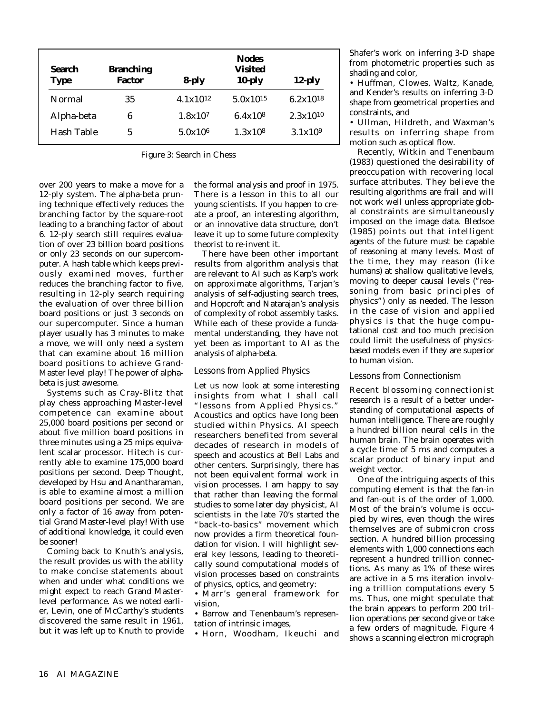| <b>Search</b><br><b>Type</b> | <b>Branching</b><br><b>Factor</b> | 8-ply                | <b>Nodes</b><br>Visited<br>$10$ -ply | $12$ -ply            |
|------------------------------|-----------------------------------|----------------------|--------------------------------------|----------------------|
| Normal                       | 35                                | $4.1 \times 10^{12}$ | 5.0x1015                             | $6.2 \times 10^{18}$ |
| Alpha-beta                   | 6                                 | 1.8x107              | 6.4x108                              | $2.3x10^{10}$        |
| Hash Table                   | 5                                 | 5.0x106              | 1.3x108                              | $3.1 \times 10^{9}$  |

*Figure 3: Search in Chess*

over 200 years to make a move for a 12-ply system. The alpha-beta pruning technique effectively reduces the branching factor by the square-root leading to a branching factor of about 6. 12-ply search still requires evaluation of over 23 billion board positions or only 23 seconds on our supercomputer. A hash table which keeps previously examined moves, further reduces the branching factor to five, resulting in 12-ply search requiring the evaluation of over three billion board positions or just 3 seconds on our supercomputer. Since a human player usually has 3 minutes to make a move, we will only need a system that can examine about 16 million board positions to achieve Grand-Master level play! The power of alphabeta is just awesome.

Systems such as Cray-Blitz that play chess approaching Master-level competence can examine about 25,000 board positions per second or about five million board positions in three minutes using a 25 mips equivalent scalar processor. Hitech is currently able to examine 175,000 board positions per second. Deep Thought, developed by Hsu and Anantharaman, is able to examine almost a million board positions per second. We are only a factor of 16 away from potential Grand Master-level play! With use of additional knowledge, it could even be sooner!

Coming back to Knuth's analysis, the result provides us with the ability to make concise statements about when and under what conditions we might expect to reach Grand Masterlevel performance. As we noted earlier, Levin, one of McCarthy's students discovered the same result in 1961, but it was left up to Knuth to provide

the formal analysis and proof in 1975. There is a lesson in this to all our young scientists. If you happen to create a proof, an interesting algorithm, or an innovative data structure, don't leave it up to some future complexity theorist to re-invent it.

There have been other important results from algorithm analysis that are relevant to AI such as Karp's work on approximate algorithms, Tarjan's analysis of self-adjusting search trees, and Hopcroft and Natarajan's analysis of complexity of robot assembly tasks. While each of these provide a fundamental understanding, they have not yet been as important to AI as the analysis of alpha-beta.

#### Lessons from Applied Physics

Let us now look at some interesting insights from what I shall call "lessons from Applied Physics." Acoustics and optics have long been studied within Physics. AI speech researchers benefited from several decades of research in models of speech and acoustics at Bell Labs and other centers. Surprisingly, there has not been equivalent formal work in vision processes. I am happy to say that rather than leaving the formal studies to some later day physicist, AI scientists in the late 70's started the "back-to-basics" movement which now provides a firm theoretical foundation for vision. I will highlight several key lessons, leading to theoretically sound computational models of vision processes based on constraints of physics, optics, and geometry:

• Marr's general framework for vision,

• Barrow and Tenenbaum's representation of intrinsic images,

• Horn, Woodham, Ikeuchi and

Shafer's work on inferring 3-D shape from photometric properties such as shading and color,

• Huffman, Clowes, Waltz, Kanade, and Kender's results on inferring 3-D shape from geometrical properties and constraints, and

• Ullman, Hildreth, and Waxman's results on inferring shape from motion such as optical flow.

Recently, Witkin and Tenenbaum (1983) questioned the desirability of preoccupation with recovering local surface attributes. They believe the resulting algorithms are frail and will not work well unless appropriate global constraints are simultaneously imposed on the image data. Bledsoe (1985) points out that intelligent agents of the future must be capable of reasoning at many levels. Most of the time, they may reason (like humans) at shallow qualitative levels, moving to deeper causal levels ("reasoning from basic principles of physics") only as needed. The lesson in the case of vision and applied physics is that the huge computational cost and too much precision could limit the usefulness of physicsbased models even if they are superior to human vision.

#### Lessons from Connectionism

Recent blossoming connectionist research is a result of a better understanding of computational aspects of human intelligence. There are roughly a hundred billion neural cells in the human brain. The brain operates with a cycle time of 5 ms and computes a scalar product of binary input and weight vector.

One of the intriguing aspects of this computing element is that the fan-in and fan-out is of the order of 1,000. Most of the brain's volume is occupied by wires, even though the wires themselves are of submicron cross section. A hundred billion processing elements with 1,000 connections each represent a hundred trillion connections. As many as 1% of these wires are active in a 5 ms iteration involving a trillion computations every 5 ms. Thus, one might speculate that the brain appears to perform 200 trillion operations per second give or take a few orders of magnitude. Figure 4 shows a scanning electron micrograph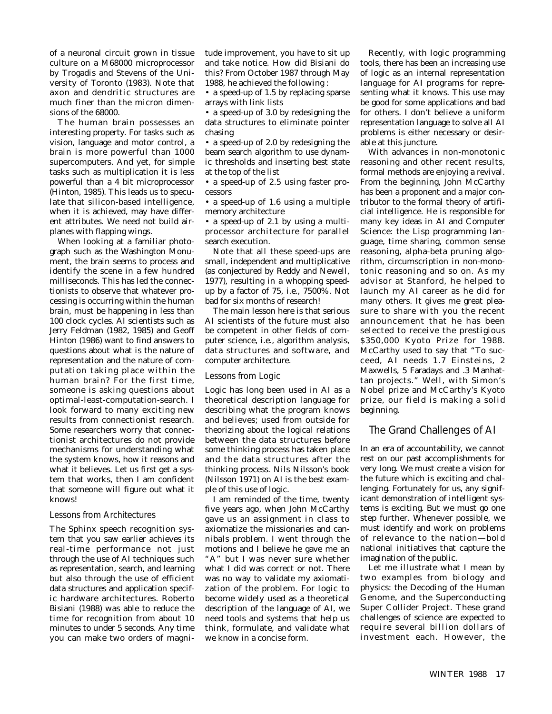of a neuronal circuit grown in tissue culture on a M68000 microprocessor by Trogadis and Stevens of the University of Toronto (1983). Note that axon and dendritic structures are much finer than the micron dimensions of the 68000.

The human brain possesses an interesting property. For tasks such as vision, language and motor control, a brain is more powerful than 1000 supercomputers. And yet, for simple tasks such as multiplication it is less powerful than a 4 bit microprocessor (Hinton, 1985). This leads us to speculate that silicon-based intelligence, when it is achieved, may have different attributes. We need not build airplanes with flapping wings.

When looking at a familiar photograph such as the Washington Monument, the brain seems to process and identify the scene in a few hundred milliseconds. This has led the connectionists to observe that whatever processing is occurring within the human brain, must be happening in less than 100 clock cycles. AI scientists such as Jerry Feldman (1982, 1985) and Geoff Hinton (1986) want to find answers to questions about what is the nature of representation and the nature of computation taking place within the human brain? For the first time, someone is asking questions about optimal-least-computation-search. I look forward to many exciting new results from connectionist research. Some researchers worry that connectionist architectures do not provide mechanisms for understanding what the system knows, how it reasons and what it believes. Let us first get a system that works, then I am confident that someone will figure out what it knows!

#### Lessons from Architectures

The Sphinx speech recognition system that you saw earlier achieves its real-time performance not just through the use of AI techniques such as representation, search, and learning but also through the use of efficient data structures and application specific hardware architectures. Roberto Bisiani (1988) was able to reduce the time for recognition from about 10 minutes to under 5 seconds. Any time you can make two orders of magnitude improvement, you have to sit up and take notice. How did Bisiani do this? From October 1987 through May 1988, he achieved the following :

• a speed-up of 1.5 by replacing sparse arrays with link lists

• a speed-up of 3.0 by redesigning the data structures to eliminate pointer chasing

• a speed-up of 2.0 by redesigning the beam search algorithm to use dynamic thresholds and inserting best state at the top of the list

• a speed-up of 2.5 using faster processors

• a speed-up of 1.6 using a multiple memory architecture

• a speed-up of 2.1 by using a multiprocessor architecture for parallel search execution.

Note that all these speed-ups are small, independent and multiplicative (as conjectured by Reddy and Newell, 1977), resulting in a whopping speedup by a factor of 75, i.e., 7500%. Not bad for six months of research!

The main lesson here is that serious AI scientists of the future must also be competent in other fields of computer science, i.e., algorithm analysis, data structures and software, and computer architecture.

#### Lessons from Logic

Logic has long been used in AI as a theoretical description language for describing what the program knows and believes; used from outside for theorizing about the logical relations between the data structures before some thinking process has taken place and the data structures after the thinking process. Nils Nilsson's book (Nilsson 1971) on AI is the best example of this use of logic.

I am reminded of the time, twenty five years ago, when John McCarthy gave us an assignment in class to axiomatize the missionaries and cannibals problem. I went through the motions and I believe he gave me an "A" but I was never sure whether what I did was correct or not. There was no way to validate my axiomatization of the problem. For logic to become widely used as a theoretical description of the language of AI, we need tools and systems that help us think, formulate, and validate what we know in a concise form.

Recently, with logic programming tools, there has been an increasing use of logic as an internal representation language for AI programs for representing what it knows. This use may be good for some applications and bad for others. I don't believe a uniform representation language to solve all AI problems is either necessary or desirable at this juncture.

With advances in non-monotonic reasoning and other recent results, formal methods are enjoying a revival. From the beginning, John McCarthy has been a proponent and a major contributor to the formal theory of artificial intelligence. He is responsible for many key ideas in AI and Computer Science: the Lisp programming language, time sharing, common sense reasoning, alpha-beta pruning algorithm, circumscription in non-monotonic reasoning and so on. As my advisor at Stanford, he helped to launch my AI career as he did for many others. It gives me great pleasure to share with you the recent announcement that he has been selected to receive the prestigious \$350,000 Kyoto Prize for 1988. McCarthy used to say that "To succeed, AI needs 1.7 Einsteins, 2 Maxwells, 5 Faradays and .3 Manhattan projects." Well, with Simon's Nobel prize and McCarthy's Kyoto prize, our field is making a solid beginning.

## The Grand Challenges of AI

In an era of accountability, we cannot rest on our past accomplishments for very long. We must create a vision for the future which is exciting and challenging. Fortunately for us, any significant demonstration of intelligent systems is exciting. But we must go one step further. Whenever possible, we must identify and work on problems of relevance to the nation—bold national initiatives that capture the imagination of the public.

Let me illustrate what I mean by two examples from biology and physics: the Decoding of the Human Genome, and the Superconducting Super Collider Project. These grand challenges of science are expected to require several billion dollars of investment each. However, the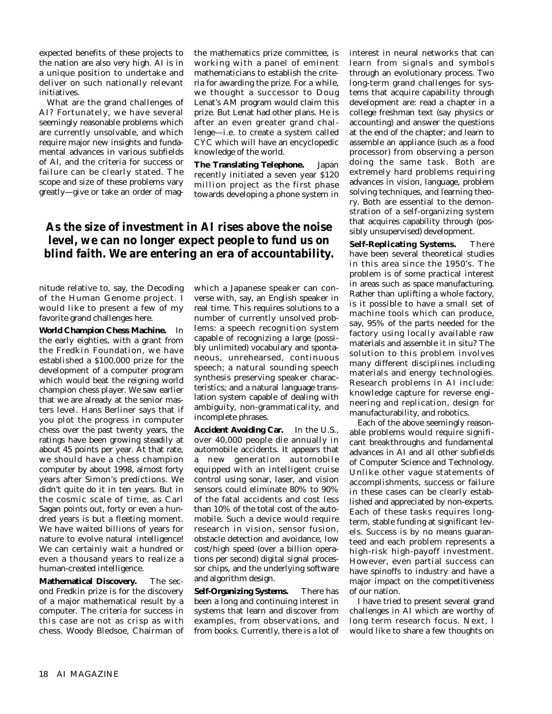expected benefits of these projects to the nation are also very high. AI is in a unique position to undertake and deliver on such nationally relevant initiatives.

What are the grand challenges of AI? Fortunately, we have several seemingly reasonable problems which are currently unsolvable, and which require major new insights and fundamental advances in various subfields of AI, and the criteria for success or failure can be clearly stated. The scope and size of these problems vary greatly—give or take an order of mag-

the mathematics prize committee, is working with a panel of eminent mathematicians to establish the criteria for awarding the prize. For a while, we thought a successor to Doug Lenat's AM program would claim this prize. But Lenat had other plans. He is after an even greater grand challenge—i.e. to create a system called CYC which will have an encyclopedic knowledge of the world.

**The Translating Telephone.** Japan recently initiated a seven year \$120 million project as the first phase towards developing a phone system in

# *As the size of investment in AI rises above the noise level, we can no longer expect people to fund us on blind faith. We are entering an era of accountability.*

nitude relative to, say, the Decoding of the Human Genome project. I would like to present a few of my favorite grand challenges here.

**World Champion Chess Machine.** In the early eighties, with a grant from the Fredkin Foundation, we have established a \$100,000 prize for the development of a computer program which would beat the reigning world champion chess player. We saw earlier that we are already at the senior masters level. Hans Berliner says that if you plot the progress in computer chess over the past twenty years, the ratings have been growing steadily at about 45 points per year. At that rate, we should have a chess champion computer by about 1998, almost forty years after Simon's predictions. We didn't quite do it in ten years. But in the cosmic scale of time, as Carl Sagan points out, forty or even a hundred years is but a fleeting moment. We have waited billions of years for nature to evolve natural intelligence! We can certainly wait a hundred or even a thousand years to realize a human-created intelligence.

**Mathematical Discovery.** The second Fredkin prize is for the discovery of a major mathematical result by a computer. The criteria for success in this case are not as crisp as with chess. Woody Bledsoe, Chairman of

which a Japanese speaker can converse with, say, an English speaker in real time. This requires solutions to a number of currently unsolved problems: a speech recognition system capable of recognizing a large (possibly unlimited) vocabulary and spontaneous, unrehearsed, continuous speech; a natural sounding speech synthesis preserving speaker characteristics; and a natural language translation system capable of dealing with ambiguity, non-grammaticality, and incomplete phrases.

**Accident Avoiding Car.** In the U.S., over 40,000 people die annually in automobile accidents. It appears that a new generation automobile equipped with an intelligent cruise control using sonar, laser, and vision sensors could eliminate 80% to 90% of the fatal accidents and cost less than 10% of the total cost of the automobile. Such a device would require research in vision, sensor fusion, obstacle detection and avoidance, low cost/high speed (over a billion operations per second) digital signal processor chips, and the underlying software and algorithm design.

**Self-Organizing Systems.** There has been a long and continuing interest in systems that learn and discover from examples, from observations, and from books. Currently, there is a lot of interest in neural networks that can learn from signals and symbols through an evolutionary process. Two long-term grand challenges for systems that acquire capability through development are: read a chapter in a college freshman text (say physics or accounting) and answer the questions at the end of the chapter; and learn to assemble an appliance (such as a food processor) from observing a person doing the same task. Both are extremely hard problems requiring advances in vision, language, problem solving techniques, and learning theory. Both are essential to the demonstration of a self-organizing system that acquires capability through (possibly unsupervised) development.

**Self-Replicating Systems.** There have been several theoretical studies in this area since the 1950's. The problem is of some practical interest in areas such as space manufacturing. Rather than uplifting a whole factory, is it possible to have a small set of machine tools which can produce, say, 95% of the parts needed for the factory using locally available raw materials and assemble it in situ? The solution to this problem involves many different disciplines including materials and energy technologies. Research problems in AI include: knowledge capture for reverse engineering and replication, design for manufacturability, and robotics.

Each of the above seemingly reasonable problems would require significant breakthroughs and fundamental advances in AI and all other subfields of Computer Science and Technology. Unlike other vague statements of accomplishments, success or failure in these cases can be clearly established and appreciated by non-experts. Each of these tasks requires longterm, stable funding at significant levels. Success is by no means guaranteed and each problem represents a high-risk high-payoff investment. However, even partial success can have spinoffs to industry and have a major impact on the competitiveness of our nation.

I have tried to present several grand challenges in AI which are worthy of long term research focus. Next, I would like to share a few thoughts on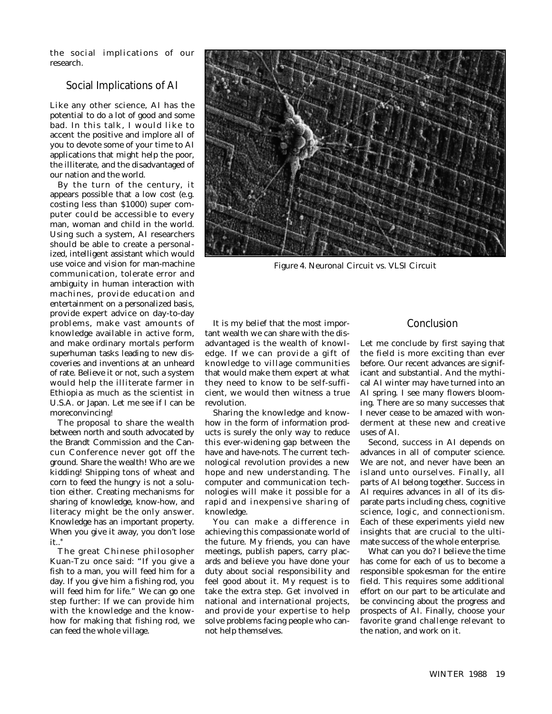the social implications of our research.

## Social Implications of AI

Like any other science, AI has the potential to do a lot of good and some bad. In this talk, I would like to accent the positive and implore all of you to devote some of your time to AI applications that might help the poor, the illiterate, and the disadvantaged of our nation and the world.

By the turn of the century, it appears possible that a low cost (e.g. costing less than \$1000) super computer could be accessible to every man, woman and child in the world. Using such a system, AI researchers should be able to create a personalized, intelligent assistant which would use voice and vision for man-machine communication, tolerate error and ambiguity in human interaction with machines, provide education and entertainment on a personalized basis, provide expert advice on day-to-day problems, make vast amounts of knowledge available in active form, and make ordinary mortals perform superhuman tasks leading to new discoveries and inventions at an unheard of rate. Believe it or not, such a system would help the illiterate farmer in Ethiopia as much as the scientist in U.S.A. or Japan. Let me see if I can be moreconvincing!

The proposal to share the wealth between north and south advocated by the Brandt Commission and the Cancun Conference never got off the ground. Share the wealth! Who are we kidding! Shipping tons of wheat and corn to feed the hungry is not a solution either. Creating mechanisms for sharing of knowledge, know-how, and literacy might be the only answer. Knowledge has an important property. When you give it away, you don't lose it..\*

The great Chinese philosopher Kuan-Tzu once said: "If you give a fish to a man, you will feed him for a day. If you give him a fishing rod, you will feed him for life." We can go one step further: If we can provide him with the knowledge and the knowhow for making that fishing rod, we can feed the whole village.



*Figure 4. Neuronal Circuit vs. VLSI Circuit*

It is my belief that the most important wealth we can share with the disadvantaged is the wealth of knowledge. If we can provide a gift of knowledge to village communities that would make them expert at what they need to know to be self-sufficient, we would then witness a true revolution.

Sharing the knowledge and knowhow in the form of information products is surely the only way to reduce this ever-widening gap between the have and have-nots. The current technological revolution provides a new hope and new understanding. The computer and communication technologies will make it possible for a rapid and inexpensive sharing of knowledge.

You can make a difference in achieving this compassionate world of the future. My friends, you can have meetings, publish papers, carry placards and believe you have done your duty about social responsibility and feel good about it. My request is to take the extra step. Get involved in national and international projects, and provide your expertise to help solve problems facing people who cannot help themselves.

# Conclusion

Let me conclude by first saying that the field is more exciting than ever before. Our recent advances are significant and substantial. And the mythical AI winter may have turned into an AI spring. I see many flowers blooming. There are so many successes that I never cease to be amazed with wonderment at these new and creative uses of AI.

Second, success in AI depends on advances in all of computer science. We are not, and never have been an island unto ourselves. Finally, all parts of AI belong together. Success in AI requires advances in all of its disparate parts including chess, cognitive science, logic, and connectionism. Each of these experiments yield new insights that are crucial to the ultimate success of the whole enterprise.

What can you do? I believe the time has come for each of us to become a responsible spokesman for the entire field. This requires some additional effort on our part to be articulate and be convincing about the progress and prospects of AI. Finally, choose your favorite grand challenge relevant to the nation, and work on it.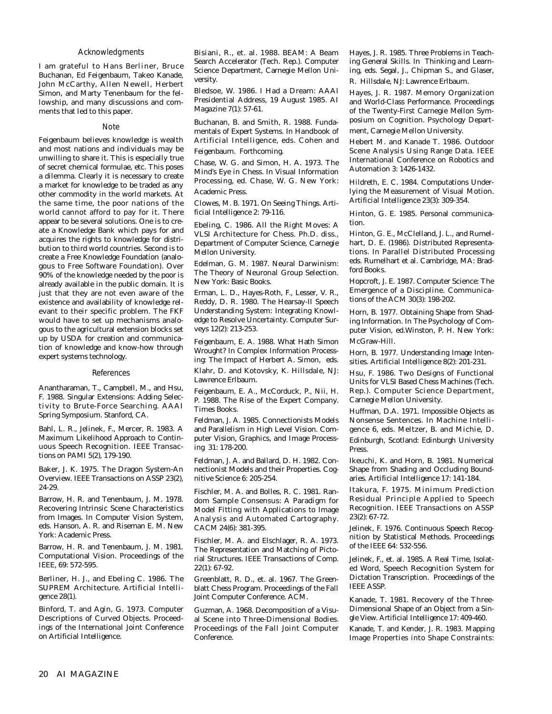#### Acknowledgments

I am grateful to Hans Berliner, Bruce Buchanan, Ed Feigenbaum, Takeo Kanade, John McCarthy, Allen Newell, Herbert Simon, and Marty Tenenbaum for the fellowship, and many discussions and comments that led to this paper.

#### Note

Feigenbaum believes knowledge is wealth and most nations and individuals may be unwilling to share it. This is especially true of secret chemical formulae, etc. This poses a dilemma. Clearly it is necessary to create a market for knowledge to be traded as any other commodity in the world markets. At the same time, the poor nations of the world cannot afford to pay for it. There appear to be several solutions. One is to create a Knowledge Bank which pays for and acquires the rights to knowledge for distribution to third world countries. Second is to create a Free Knowledge Foundation (analogous to Free Software Foundation). Over 90% of the knowledge needed by the poor is already available in the public domain. It is just that they are not even aware of the existence and availability of knowledge relevant to their specific problem. The FKF would have to set up mechanisms analogous to the agricultural extension blocks set up by USDA for creation and communication of knowledge and know-how through expert systems technology.

#### References

Anantharaman, T., Campbell, M., and Hsu, F. 1988. Singular Extensions: Adding Selectivity to Brute-Force Searching. *AAAI Spring Symposium.* Stanford, CA.

Bahl, L. R., Jelinek, F., Mercer, R. 1983. A Maximum Likelihood Approach to Continuous Speech Recognition. *IEEE Transactions on PAMI* 5(2), 179-190.

Baker, J. K. 1975. The Dragon System-An Overview. *IEEE Transactions on ASSP* 23(2), 24-29.

Barrow, H. R. and Tenenbaum, J. M. 1978. Recovering Intrinsic Scene Characteristics from Images. In *Computer Vision System,* eds*.* Hanson, A. R. and Riseman E. M*.* New York: Academic Press.

Barrow, H. R. and Tenenbaum, J. M. 1981. Computational Vision. *Proceedings of the IEEE,* 69: 572-595.

Berliner, H. J., and Ebeling C. 1986. The SUPREM Architecture. *Artificial Intelligence* 28(1).

Binford, T. and Agin, G. 1973. Computer Descriptions of Curved Objects. *Proceedings of the International Joint Conference on Artificial Intelligence.* 

Bisiani, R., et. al. 1988. BEAM: A Beam Search Accelerator (Tech. Rep.). Computer Science Department, Carnegie Mellon University.

Bledsoe, W. 1986. I Had a Dream: AAAI Presidential Address, 19 August 1985. *AI Magazine* 7(1): 57-61.

Buchanan, B. and Smith, R. 1988. Fundamentals of Expert Systems. In *Handbook of Artificial Intelligence,* eds. Cohen and Feigenbaum. Forthcoming.

Chase, W. G. and Simon, H. A. 1973. The Mind's Eye in Chess. In *Visual Information Processing,* ed. Chase, W. G*.* New York: Academic Press.

Clowes, M. B. 1971. On Seeing Things. *Artificial Intelligence* 2: 79-116.

Ebeling, C. 1986. All the Right Moves: A VLSI Architecture for Chess. Ph.D. diss., Department of Computer Science, Carnegie Mellon University.

Edelman, G. M. 1987. *Neural Darwinism: The Theory of Neuronal Group Selection.* New York: Basic Books.

Erman, L. D., Hayes-Roth, F., Lesser, V. R., Reddy, D. R. 1980. The Hearsay-II Speech Understanding System: Integrating Knowledge to Resolve Uncertainty. *Computer Surveys* 12(2): 213-253.

Feigenbaum, E. A. 1988. What Hath Simon Wrought? In *Complex Information Processing: The Impact of Herbert A. Simon,* eds. Klahr, D. and Kotovsky, K. Hillsdale, NJ:

Lawrence Erlbaum.

Feigenbaum, E. A., McCorduck, P., Nii, H. P. 1988. *The Rise of the Expert Company.* Times Books.

Feldman, J. A. 1985. Connectionists Models and Parallelism in High Level Vision. *Computer Vision, Graphics, and Image Processing* 31: 178-200.

Feldman, J. A. and Ballard, D. H. 1982. Connectionist Models and their Properties. *Cognitive Science* 6: 205-254.

Fischler, M. A. and Bolles, R. C. 1981. Random Sample Consensus: A Paradigm for Model Fitting with Applications to Image Analysis and Automated Cartography. *CACM* 24(6): 381-395.

Fischler, M. A. and Elschlager, R. A. 1973. The Representation and Matching of Pictorial Structures. *IEEE Transactions of Comp.* 22(1): 67-92.

Greenblatt, R. D., et. al. 1967. The Greenblatt Chess Program. *Proceedings of the Fall Joint Computer Conference.* ACM.

Guzman, A. 1968. Decomposition of a Visual Scene into Three-Dimensional Bodies. *Proceedings of the Fall Joint Computer Conference.*

Hayes, J. R. 1985. Three Problems in Teaching General Skills. In *Thinking and Learning,* eds. Segal, J., Chipman S., and Glaser, R. Hillsdale, NJ: Lawrence Erlbaum.

Hayes, J. R. 1987. Memory Organization and World-Class Performance. *Proceedings of the Twenty-First Carnegie Mellon Symposium on Cognition.* Psychology Department, Carnegie Mellon University.

Hebert M. and Kanade T. 1986. Outdoor Scene Analysis Using Range Data. *IEEE International Conference on Robotics and Automation* 3: 1426-1432.

Hildreth, E. C. 1984. Computations Underlying the Measurement of Visual Motion. *Artificial Intelligence* 23(3): 309-354.

Hinton, G. E. 1985. Personal communication.

Hinton, G. E., McClelland, J. L., and Rumelhart, D. E. (1986). Distributed Representations. In *Parallel Distributed Processing* eds. Rumelhart et al*.* Cambridge, MA: Bradford Books.

Hopcroft, J. E. 1987. Computer Science: The Emergence of a Discipline. *Communications of the ACM* 30(3): 198-202.

Horn, B. 1977. Obtaining Shape from Shading Information. In *The Psychology of Computer Vision,* ed.Winston, P. H. New York: McGraw-Hill.

Horn, B. 1977. Understanding Image Intensities. *Artificial Intelligence* 8(2): 201-231.

Hsu, F. 1986. Two Designs of Functional Units for VLSI Based Chess Machines (Tech. Rep.). Computer Science Department, Carnegie Mellon University.

Huffman, D.A. 1971. Impossible Objects as Nonsense Sentences. In *Machine Intelligence* 6*,* eds. Meltzer, B. and Michie, D. Edinburgh, Scotland: Edinburgh University Press.

Ikeuchi, K. and Horn, B. 1981. Numerical Shape from Shading and Occluding Boundaries. *Artificial Intelligence* 17: 141-184.

Itakura, F. 1975. Minimum Prediction Residual Principle Applied to Speech Recognition. *IEEE Transactions on ASSP* 23(2): 67-72.

Jelinek, F. 1976. Continuous Speech Recognition by Statistical Methods. *Proceedings of the IEEE* 64: 532-556.

Jelinek, F., et. al. 1985. A Real Time, Isolated Word, Speech Recognition System for Dictation Transcription. *Proceedings of the IEEE* ASSP.

Kanade, T. 1981. Recovery of the Three-Dimensional Shape of an Object from a Single View. *Artificial Intelligence* 17: 409-460.

Kanade, T. and Kender, J. R. 1983. Mapping Image Properties into Shape Constraints: